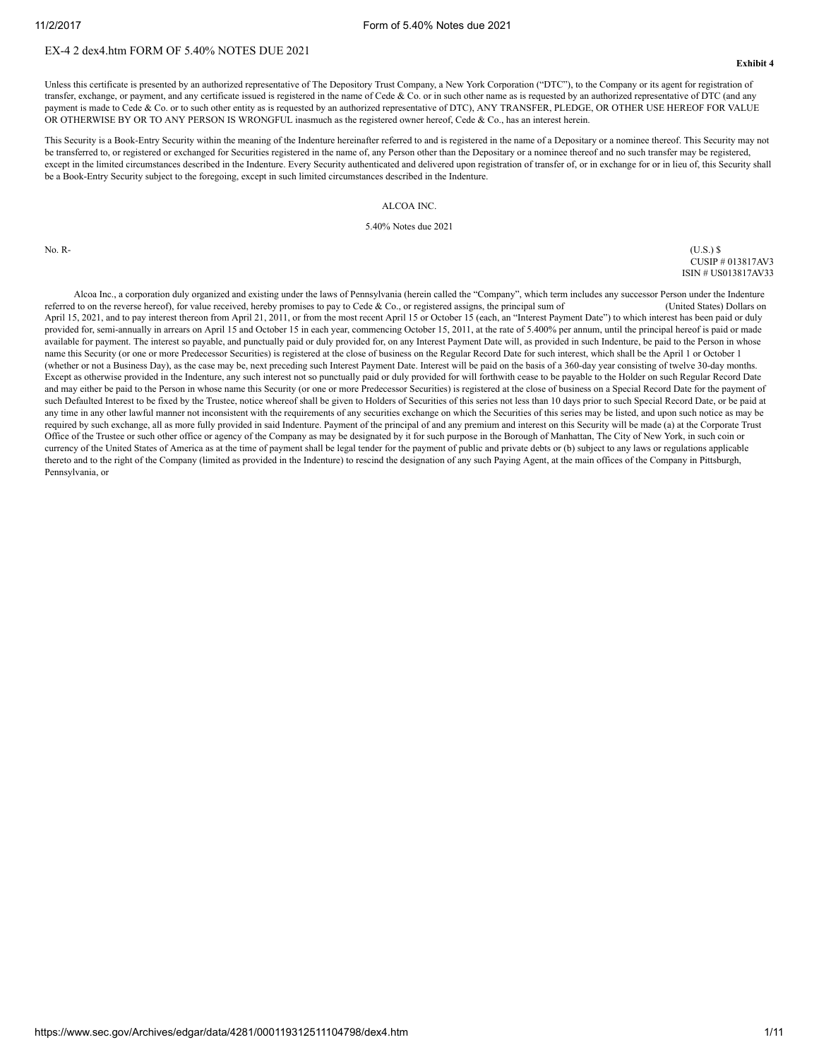## EX-4 2 dex4.htm FORM OF 5.40% NOTES DUE 2021

Unless this certificate is presented by an authorized representative of The Depository Trust Company, a New York Corporation ("DTC"), to the Company or its agent for registration of transfer, exchange, or payment, and any certificate issued is registered in the name of Cede & Co. or in such other name as is requested by an authorized representative of DTC (and any payment is made to Cede & Co. or to such other entity as is requested by an authorized representative of DTC), ANY TRANSFER, PLEDGE, OR OTHER USE HEREOF FOR VALUE OR OTHERWISE BY OR TO ANY PERSON IS WRONGFUL inasmuch as the registered owner hereof, Cede & Co., has an interest herein.

This Security is a Book-Entry Security within the meaning of the Indenture hereinafter referred to and is registered in the name of a Depositary or a nominee thereof. This Security may not be transferred to, or registered or exchanged for Securities registered in the name of, any Person other than the Depositary or a nominee thereof and no such transfer may be registered. except in the limited circumstances described in the Indenture. Every Security authenticated and delivered upon registration of transfer of, or in exchange for or in lieu of, this Security shall be a Book-Entry Security subject to the foregoing, except in such limited circumstances described in the Indenture.

### ALCOA INC.

5.40% Notes due 2021

No. R- (U.S.) \$ CUSIP # 013817AV3 ISIN # US013817AV33

Alcoa Inc., a corporation duly organized and existing under the laws of Pennsylvania (herein called the "Company", which term includes any successor Person under the Indenture referred to on the reverse hereof), for value received, hereby promises to pay to Cede & Co., or registered assigns, the principal sum of (United States) Dollars on April 15, 2021, and to pay interest thereon from April 21, 2011, or from the most recent April 15 or October 15 (each, an "Interest Payment Date") to which interest has been paid or duly provided for, semi-annually in arrears on April 15 and October 15 in each year, commencing October 15, 2011, at the rate of 5.400% per annum, until the principal hereof is paid or made available for payment. The interest so payable, and punctually paid or duly provided for, on any Interest Payment Date will, as provided in such Indenture, be paid to the Person in whose name this Security (or one or more Predecessor Securities) is registered at the close of business on the Regular Record Date for such interest, which shall be the April 1 or October 1 (whether or not a Business Day), as the case may be, next preceding such Interest Payment Date. Interest will be paid on the basis of a 360-day year consisting of twelve 30-day months. Except as otherwise provided in the Indenture, any such interest not so punctually paid or duly provided for will forthwith cease to be payable to the Holder on such Regular Record Date and may either be paid to the Person in whose name this Security (or one or more Predecessor Securities) is registered at the close of business on a Special Record Date for the payment of such Defaulted Interest to be fixed by the Trustee, notice whereof shall be given to Holders of Securities of this series not less than 10 days prior to such Special Record Date, or be paid at any time in any other lawful manner not inconsistent with the requirements of any securities exchange on which the Securities of this series may be listed, and upon such notice as may be required by such exchange, all as more fully provided in said Indenture. Payment of the principal of and any premium and interest on this Security will be made (a) at the Corporate Trust Office of the Trustee or such other office or agency of the Company as may be designated by it for such purpose in the Borough of Manhattan, The City of New York, in such coin or currency of the United States of America as at the time of payment shall be legal tender for the payment of public and private debts or (b) subject to any laws or regulations applicable thereto and to the right of the Company (limited as provided in the Indenture) to rescind the designation of any such Paying Agent, at the main offices of the Company in Pittsburgh, Pennsylvania, or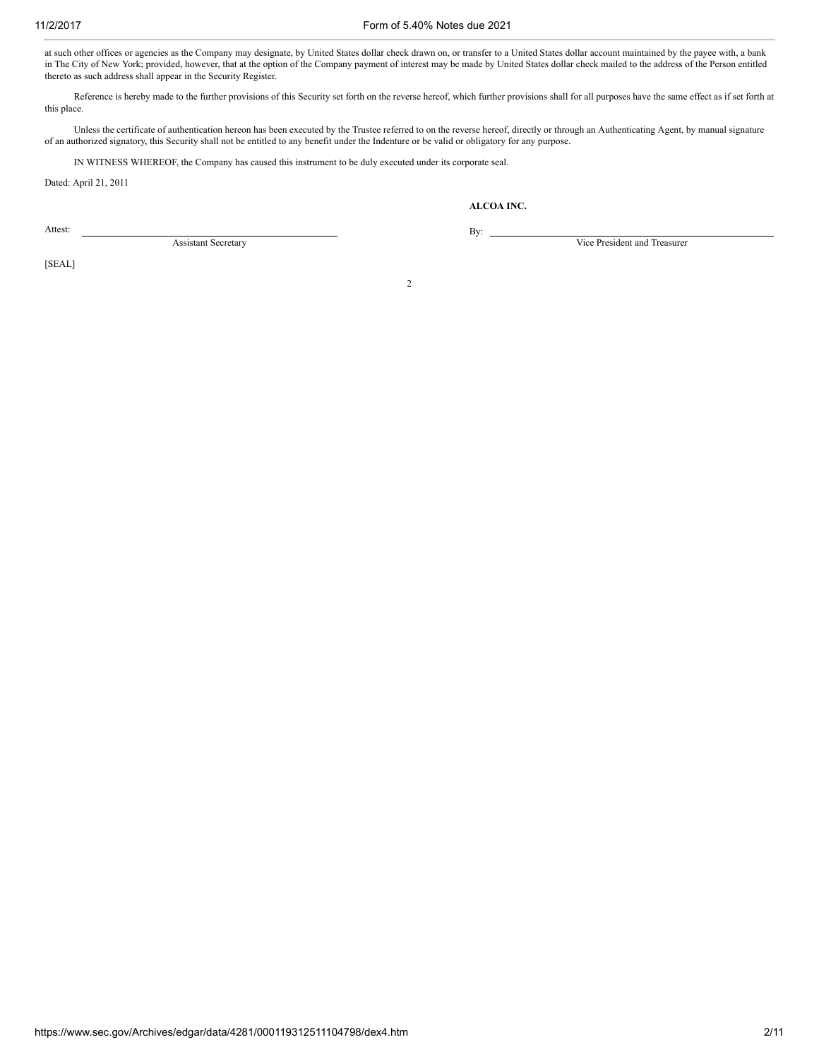#### 11/2/2017 Form of 5.40% Notes due 2021

at such other offices or agencies as the Company may designate, by United States dollar check drawn on, or transfer to a United States dollar account maintained by the payee with, a bank in The City of New York; provided, however, that at the option of the Company payment of interest may be made by United States dollar check mailed to the address of the Person entitled thereto as such address shall appear in the Security Register.

Reference is hereby made to the further provisions of this Security set forth on the reverse hereof, which further provisions shall for all purposes have the same effect as if set forth at this place.

Unless the certificate of authentication hereon has been executed by the Trustee referred to on the reverse hereof, directly or through an Authenticating Agent, by manual signature of an authorized signatory, this Security shall not be entitled to any benefit under the Indenture or be valid or obligatory for any purpose.

IN WITNESS WHEREOF, the Company has caused this instrument to be duly executed under its corporate seal.

By:

Dated: April 21, 2011

ALCOA INC.

Attest:

Vice President and Treasurer

[SEAL]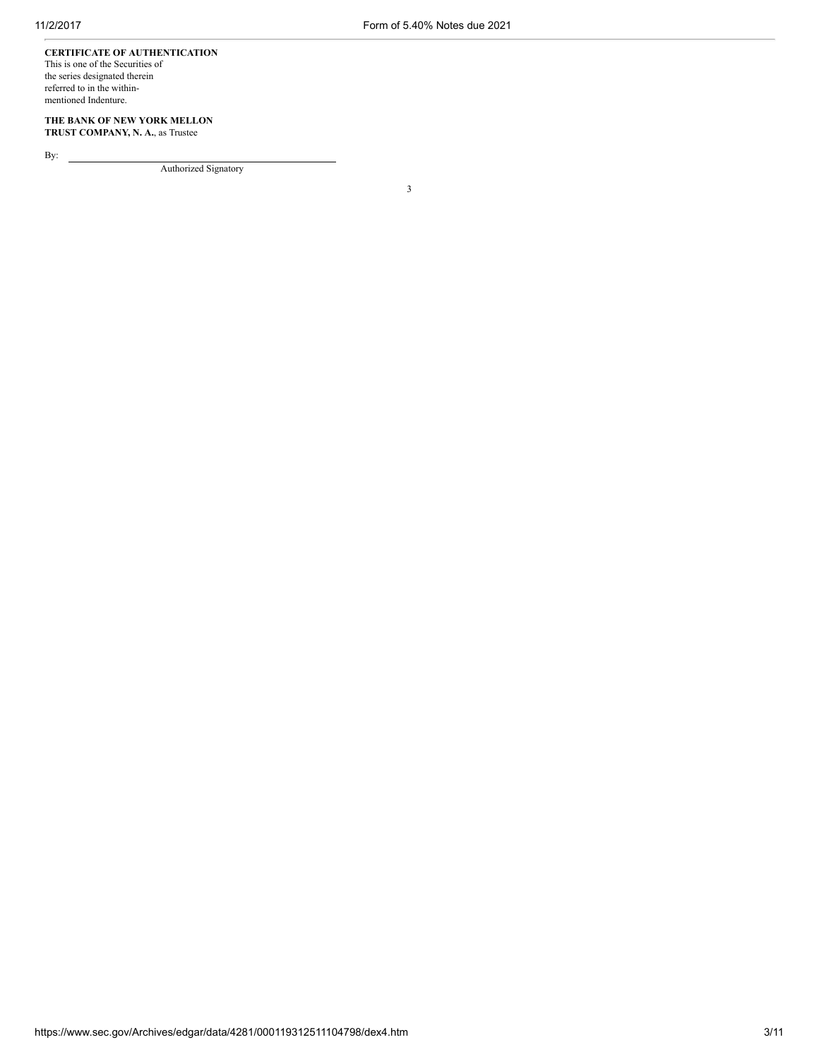# CERTIFICATE OF AUTHENTICATION

This is one of the Securities of the series designated therein referred to in the withinmentioned Indenture.

## THE BANK OF NEW YORK MELLON TRUST COMPANY, N. A., as Trustee

By:

Authorized Signatory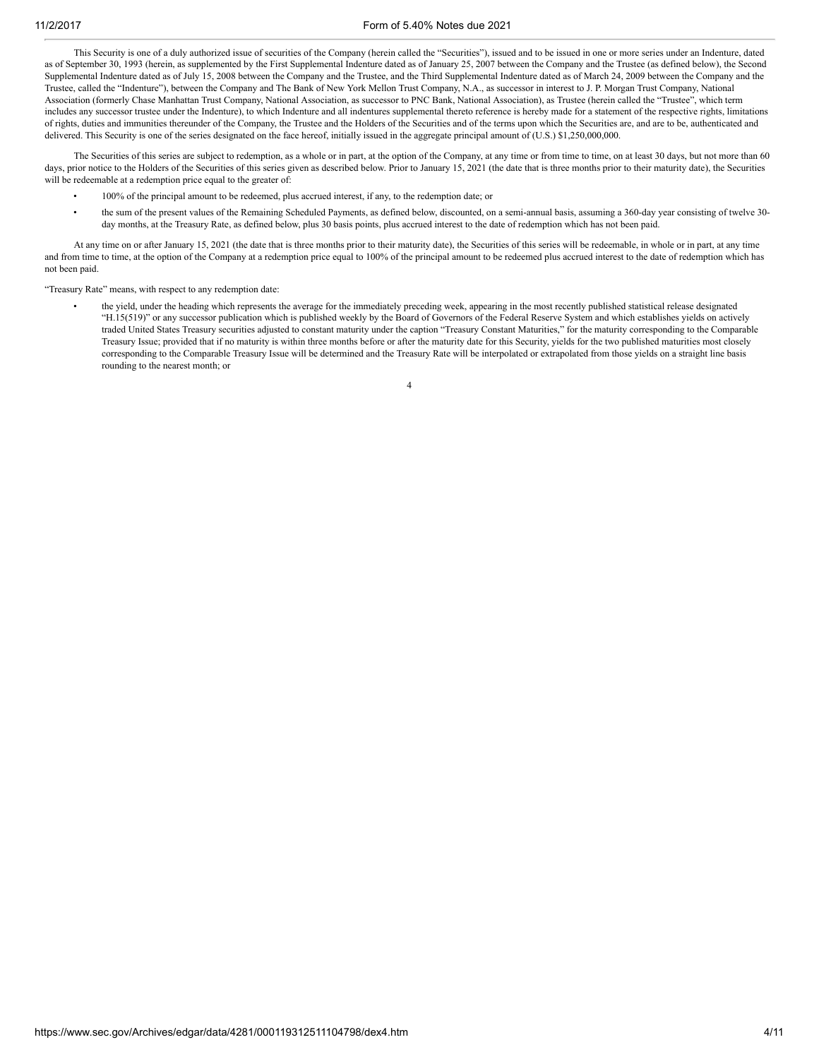This Security is one of a duly authorized issue of securities of the Company (herein called the "Securities"), issued and to be issued in one or more series under an Indenture, dated as of September 30, 1993 (herein, as supplemented by the First Supplemental Indenture dated as of January 25, 2007 between the Company and the Trustee (as defined below), the Second Supplemental Indenture dated as of July 15, 2008 between the Company and the Trustee, and the Third Supplemental Indenture dated as of March 24, 2009 between the Company and the Trustee, called the "Indenture"), between the Company and The Bank of New York Mellon Trust Company, N.A., as successor in interest to J. P. Morgan Trust Company, National Association (formerly Chase Manhattan Trust Company, National Association, as successor to PNC Bank, National Association), as Trustee (herein called the "Trustee", which term includes any successor trustee under the Indenture), to which Indenture and all indentures supplemental thereto reference is hereby made for a statement of the respective rights, limitations of rights, duties and immunities thereunder of the Company, the Trustee and the Holders of the Securities and of the terms upon which the Securities are, and are to be, authenticated and delivered. This Security is one of the series designated on the face hereof, initially issued in the aggregate principal amount of (U.S.) \$1,250,000,000.

The Securities of this series are subject to redemption, as a whole or in part, at the option of the Company, at any time or from time to time, on at least 30 days, but not more than 60 days, prior notice to the Holders of the Securities of this series given as described below. Prior to January 15, 2021 (the date that is three months prior to their maturity date), the Securities will be redeemable at a redemption price equal to the greater of:

- 100% of the principal amount to be redeemed, plus accrued interest, if any, to the redemption date; or
- the sum of the present values of the Remaining Scheduled Payments, as defined below, discounted, on a semi-annual basis, assuming a 360-day year consisting of twelve 30 day months, at the Treasury Rate, as defined below, plus 30 basis points, plus accrued interest to the date of redemption which has not been paid.

At any time on or after January 15, 2021 (the date that is three months prior to their maturity date), the Securities of this series will be redeemable, in whole or in part, at any time and from time to time, at the option of the Company at a redemption price equal to 100% of the principal amount to be redeemed plus accrued interest to the date of redemption which has not been paid.

"Treasury Rate" means, with respect to any redemption date:

• the yield, under the heading which represents the average for the immediately preceding week, appearing in the most recently published statistical release designated "H.15(519)" or any successor publication which is published weekly by the Board of Governors of the Federal Reserve System and which establishes yields on actively traded United States Treasury securities adjusted to constant maturity under the caption "Treasury Constant Maturities," for the maturity corresponding to the Comparable Treasury Issue; provided that if no maturity is within three months before or after the maturity date for this Security, yields for the two published maturities most closely corresponding to the Comparable Treasury Issue will be determined and the Treasury Rate will be interpolated or extrapolated from those yields on a straight line basis rounding to the nearest month; or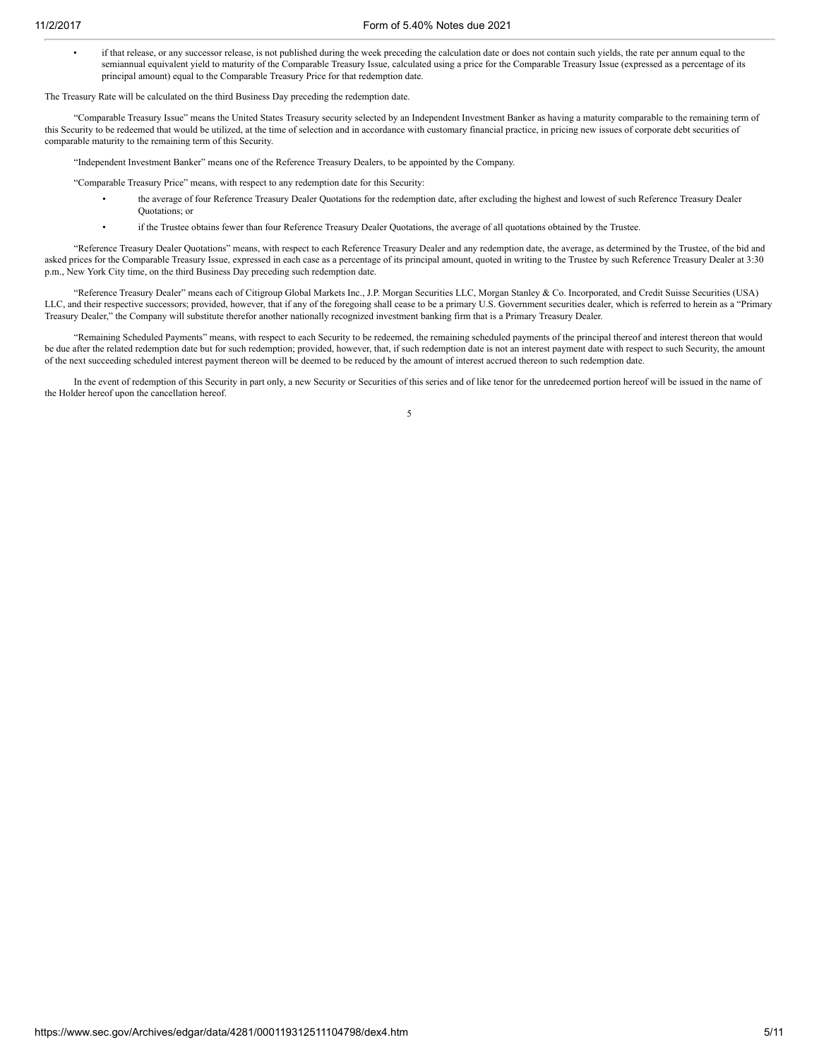• if that release, or any successor release, is not published during the week preceding the calculation date or does not contain such yields, the rate per annum equal to the semiannual equivalent yield to maturity of the Comparable Treasury Issue, calculated using a price for the Comparable Treasury Issue (expressed as a percentage of its principal amount) equal to the Comparable Treasury Price for that redemption date.

The Treasury Rate will be calculated on the third Business Day preceding the redemption date.

"Comparable Treasury Issue" means the United States Treasury security selected by an Independent Investment Banker as having a maturity comparable to the remaining term of this Security to be redeemed that would be utilized, at the time of selection and in accordance with customary financial practice, in pricing new issues of corporate debt securities of comparable maturity to the remaining term of this Security.

"Independent Investment Banker" means one of the Reference Treasury Dealers, to be appointed by the Company.

"Comparable Treasury Price" means, with respect to any redemption date for this Security:

- the average of four Reference Treasury Dealer Quotations for the redemption date, after excluding the highest and lowest of such Reference Treasury Dealer Quotations; or
- if the Trustee obtains fewer than four Reference Treasury Dealer Quotations, the average of all quotations obtained by the Trustee.

"Reference Treasury Dealer Quotations" means, with respect to each Reference Treasury Dealer and any redemption date, the average, as determined by the Trustee, of the bid and asked prices for the Comparable Treasury Issue, expressed in each case as a percentage of its principal amount, quoted in writing to the Trustee by such Reference Treasury Dealer at 3:30 p.m., New York City time, on the third Business Day preceding such redemption date.

"Reference Treasury Dealer" means each of Citigroup Global Markets Inc., J.P. Morgan Securities LLC, Morgan Stanley & Co. Incorporated, and Credit Suisse Securities (USA) LLC, and their respective successors; provided, however, that if any of the foregoing shall cease to be a primary U.S. Government securities dealer, which is referred to herein as a "Primary Treasury Dealer," the Company will substitute therefor another nationally recognized investment banking firm that is a Primary Treasury Dealer.

"Remaining Scheduled Payments" means, with respect to each Security to be redeemed, the remaining scheduled payments of the principal thereof and interest thereon that would be due after the related redemption date but for such redemption; provided, however, that, if such redemption date is not an interest payment date with respect to such Security, the amount of the next succeeding scheduled interest payment thereon will be deemed to be reduced by the amount of interest accrued thereon to such redemption date.

In the event of redemption of this Security in part only, a new Security or Securities of this series and of like tenor for the unredeemed portion hereof will be issued in the name of the Holder hereof upon the cancellation hereof.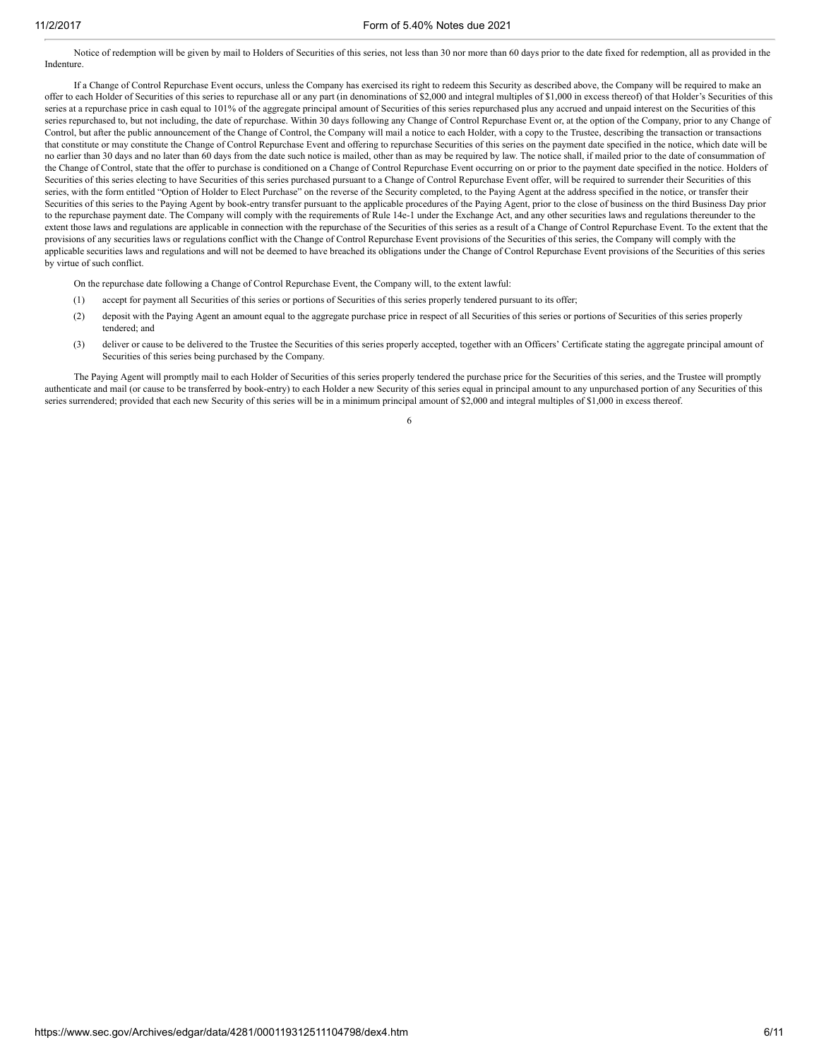Notice of redemption will be given by mail to Holders of Securities of this series, not less than 30 nor more than 60 days prior to the date fixed for redemption, all as provided in the Indenture.

If a Change of Control Repurchase Event occurs, unless the Company has exercised its right to redeem this Security as described above, the Company will be required to make an offer to each Holder of Securities of this series to repurchase all or any part (in denominations of \$2,000 and integral multiples of \$1,000 in excess thereof) of that Holder's Securities of this series at a repurchase price in cash equal to 101% of the aggregate principal amount of Securities of this series repurchased plus any accrued and unpaid interest on the Securities of this series repurchased to, but not including, the date of repurchase. Within 30 days following any Change of Control Repurchase Event or, at the option of the Company, prior to any Change of Control, but after the public announcement of the Change of Control, the Company will mail a notice to each Holder, with a copy to the Trustee, describing the transaction or transactions that constitute or may constitute the Change of Control Repurchase Event and offering to repurchase Securities of this series on the payment date specified in the notice, which date will be no earlier than 30 days and no later than 60 days from the date such notice is mailed, other than as may be required by law. The notice shall, if mailed prior to the date of consummation of the Change of Control, state that the offer to purchase is conditioned on a Change of Control Repurchase Event occurring on or prior to the payment date specified in the notice. Holders of Securities of this series electing to have Securities of this series purchased pursuant to a Change of Control Repurchase Event offer, will be required to surrender their Securities of this series, with the form entitled "Option of Holder to Elect Purchase" on the reverse of the Security completed, to the Paying Agent at the address specified in the notice, or transfer their Securities of this series to the Paying Agent by book-entry transfer pursuant to the applicable procedures of the Paying Agent, prior to the close of business on the third Business Day prior to the repurchase payment date. The Company will comply with the requirements of Rule 14e-1 under the Exchange Act, and any other securities laws and regulations thereunder to the extent those laws and regulations are applicable in connection with the repurchase of the Securities of this series as a result of a Change of Control Repurchase Event. To the extent that the provisions of any securities laws or regulations conflict with the Change of Control Repurchase Event provisions of the Securities of this series, the Company will comply with the applicable securities laws and regulations and will not be deemed to have breached its obligations under the Change of Control Repurchase Event provisions of the Securities of this series by virtue of such conflict.

On the repurchase date following a Change of Control Repurchase Event, the Company will, to the extent lawful:

- (1) accept for payment all Securities of this series or portions of Securities of this series properly tendered pursuant to its offer;
- (2) deposit with the Paying Agent an amount equal to the aggregate purchase price in respect of all Securities of this series or portions of Securities of this series properly tendered; and
- (3) deliver or cause to be delivered to the Trustee the Securities of this series properly accepted, together with an Officers' Certificate stating the aggregate principal amount of Securities of this series being purchased by the Company.

The Paying Agent will promptly mail to each Holder of Securities of this series properly tendered the purchase price for the Securities of this series, and the Trustee will promptly authenticate and mail (or cause to be transferred by book-entry) to each Holder a new Security of this series equal in principal amount to any unpurchased portion of any Securities of this series surrendered; provided that each new Security of this series will be in a minimum principal amount of \$2,000 and integral multiples of \$1,000 in excess thereof.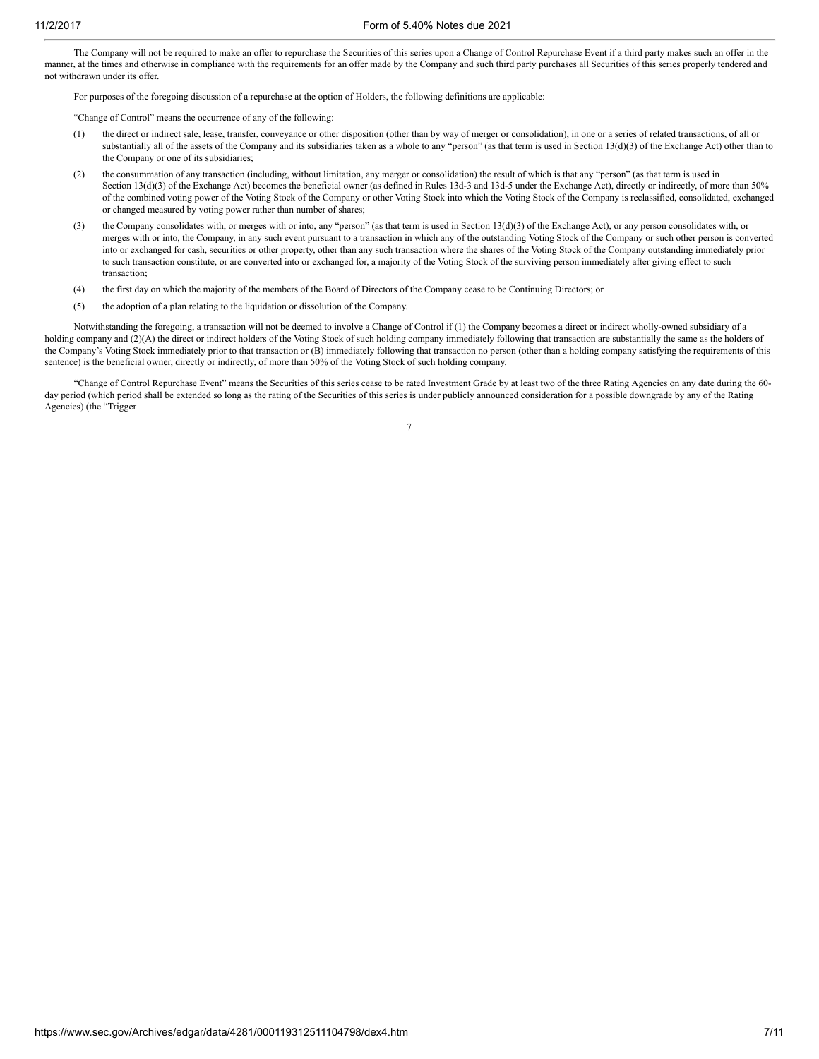The Company will not be required to make an offer to repurchase the Securities of this series upon a Change of Control Repurchase Event if a third party makes such an offer in the manner, at the times and otherwise in compliance with the requirements for an offer made by the Company and such third party purchases all Securities of this series properly tendered and not withdrawn under its offer.

For purposes of the foregoing discussion of a repurchase at the option of Holders, the following definitions are applicable:

"Change of Control" means the occurrence of any of the following:

- (1) the direct or indirect sale, lease, transfer, conveyance or other disposition (other than by way of merger or consolidation), in one or a series of related transactions, of all or substantially all of the assets of the Company and its subsidiaries taken as a whole to any "person" (as that term is used in Section 13(d)(3) of the Exchange Act) other than to the Company or one of its subsidiaries;
- (2) the consummation of any transaction (including, without limitation, any merger or consolidation) the result of which is that any "person" (as that term is used in Section 13(d)(3) of the Exchange Act) becomes the beneficial owner (as defined in Rules 13d-3 and 13d-5 under the Exchange Act), directly or indirectly, of more than 50% of the combined voting power of the Voting Stock of the Company or other Voting Stock into which the Voting Stock of the Company is reclassified, consolidated, exchanged or changed measured by voting power rather than number of shares;
- (3) the Company consolidates with, or merges with or into, any "person" (as that term is used in Section 13(d)(3) of the Exchange Act), or any person consolidates with, or merges with or into, the Company, in any such event pursuant to a transaction in which any of the outstanding Voting Stock of the Company or such other person is converted into or exchanged for cash, securities or other property, other than any such transaction where the shares of the Voting Stock of the Company outstanding immediately prior to such transaction constitute, or are converted into or exchanged for, a majority of the Voting Stock of the surviving person immediately after giving effect to such transaction;
- (4) the first day on which the majority of the members of the Board of Directors of the Company cease to be Continuing Directors; or
- (5) the adoption of a plan relating to the liquidation or dissolution of the Company.

Notwithstanding the foregoing, a transaction will not be deemed to involve a Change of Control if (1) the Company becomes a direct or indirect wholly-owned subsidiary of a holding company and (2)(A) the direct or indirect holders of the Voting Stock of such holding company immediately following that transaction are substantially the same as the holders of the Company's Voting Stock immediately prior to that transaction or (B) immediately following that transaction no person (other than a holding company satisfying the requirements of this sentence) is the beneficial owner, directly or indirectly, of more than 50% of the Voting Stock of such holding company.

"Change of Control Repurchase Event" means the Securities of this series cease to be rated Investment Grade by at least two of the three Rating Agencies on any date during the 60 day period (which period shall be extended so long as the rating of the Securities of this series is under publicly announced consideration for a possible downgrade by any of the Rating Agencies) (the "Trigger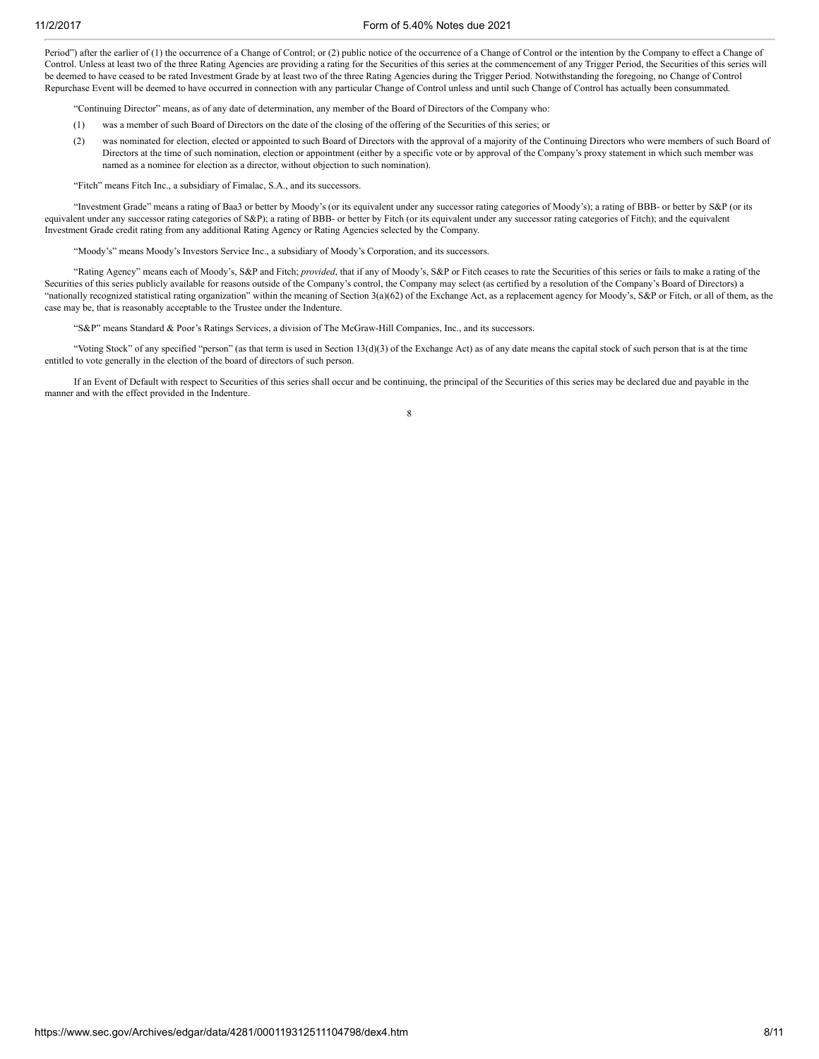Period") after the earlier of (1) the occurrence of a Change of Control; or (2) public notice of the occurrence of a Change of Control or the intention by the Company to effect a Change of Control. Unless at least two of the three Rating Agencies are providing a rating for the Securities of this series at the commencement of any Trigger Period, the Securities of this series will be deemed to have ceased to be rated Investment Grade by at least two of the three Rating Agencies during the Trigger Period. Notwithstanding the foregoing, no Change of Control Repurchase Event will be deemed to have occurred in connection with any particular Change of Control unless and until such Change of Control has actually been consummated.

"Continuing Director" means, as of any date of determination, any member of the Board of Directors of the Company who:

- (1) was a member of such Board of Directors on the date of the closing of the offering of the Securities of this series; or
- (2) was nominated for election, elected or appointed to such Board of Directors with the approval of a majority of the Continuing Directors who were members of such Board of Directors at the time of such nomination, election or appointment (either by a specific vote or by approval of the Company's proxy statement in which such member was named as a nominee for election as a director, without objection to such nomination).

"Fitch" means Fitch Inc., a subsidiary of Fimalac, S.A., and its successors.

"Investment Grade" means a rating of Baa3 or better by Moody's (or its equivalent under any successor rating categories of Moody's); a rating of BBB- or better by S&P (or its equivalent under any successor rating categories of S&P); a rating of BBB- or better by Fitch (or its equivalent under any successor rating categories of Fitch); and the equivalent Investment Grade credit rating from any additional Rating Agency or Rating Agencies selected by the Company.

"Moody's" means Moody's Investors Service Inc., a subsidiary of Moody's Corporation, and its successors.

"Rating Agency" means each of Moody's, S&P and Fitch; *provided*, that if any of Moody's, S&P or Fitch ceases to rate the Securities of this series or fails to make a rating of the Securities of this series publicly available for reasons outside of the Company's control, the Company may select (as certified by a resolution of the Company's Board of Directors) a "nationally recognized statistical rating organization" within the meaning of Section 3(a)(62) of the Exchange Act, as a replacement agency for Moody's, S&P or Fitch, or all of them, as the case may be, that is reasonably acceptable to the Trustee under the Indenture.

"S&P" means Standard & Poor's Ratings Services, a division of The McGraw-Hill Companies, Inc., and its successors.

"Voting Stock" of any specified "person" (as that term is used in Section 13(d)(3) of the Exchange Act) as of any date means the capital stock of such person that is at the time entitled to vote generally in the election of the board of directors of such person.

If an Event of Default with respect to Securities of this series shall occur and be continuing, the principal of the Securities of this series may be declared due and payable in the manner and with the effect provided in the Indenture.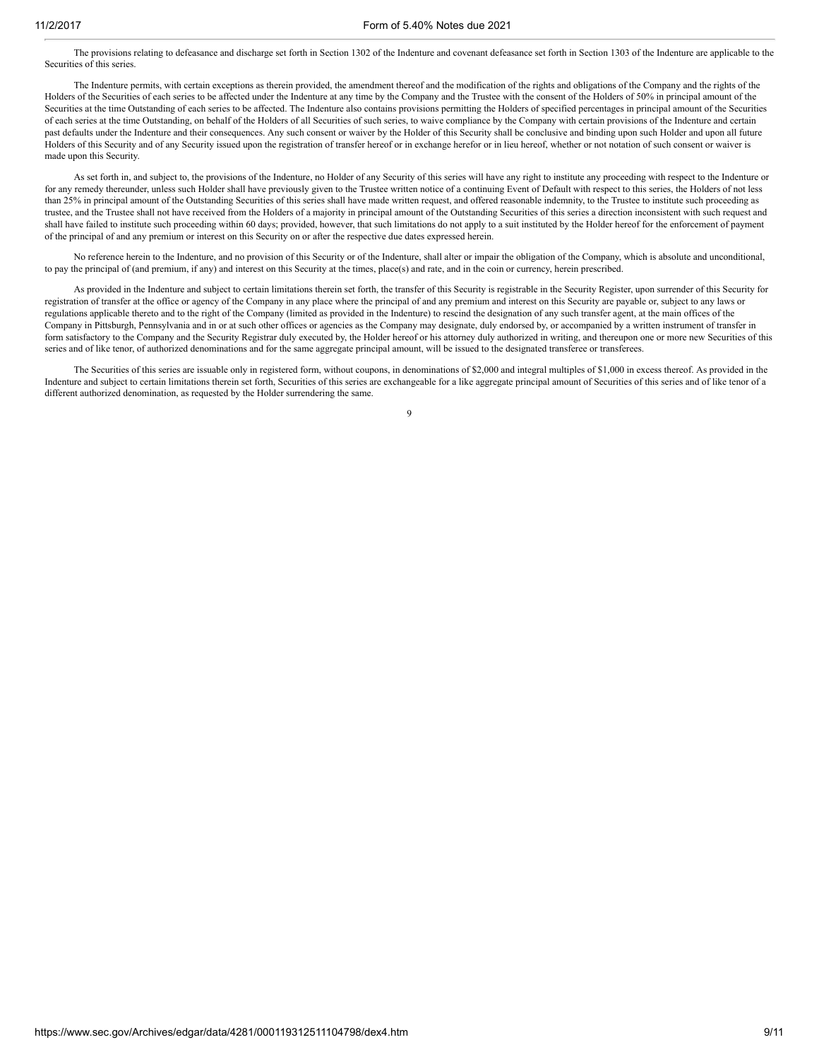The provisions relating to defeasance and discharge set forth in Section 1302 of the Indenture and covenant defeasance set forth in Section 1303 of the Indenture are applicable to the Securities of this series.

The Indenture permits, with certain exceptions as therein provided, the amendment thereof and the modification of the rights and obligations of the Company and the rights of the Holders of the Securities of each series to be affected under the Indenture at any time by the Company and the Trustee with the consent of the Holders of 50% in principal amount of the Securities at the time Outstanding of each series to be affected. The Indenture also contains provisions permitting the Holders of specified percentages in principal amount of the Securities of each series at the time Outstanding, on behalf of the Holders of all Securities of such series, to waive compliance by the Company with certain provisions of the Indenture and certain past defaults under the Indenture and their consequences. Any such consent or waiver by the Holder of this Security shall be conclusive and binding upon such Holder and upon all future Holders of this Security and of any Security issued upon the registration of transfer hereof or in exchange herefor or in lieu hereof, whether or not notation of such consent or waiver is made upon this Security.

As set forth in, and subject to, the provisions of the Indenture, no Holder of any Security of this series will have any right to institute any proceeding with respect to the Indenture or for any remedy thereunder, unless such Holder shall have previously given to the Trustee written notice of a continuing Event of Default with respect to this series, the Holders of not less than 25% in principal amount of the Outstanding Securities of this series shall have made written request, and offered reasonable indemnity, to the Trustee to institute such proceeding as trustee, and the Trustee shall not have received from the Holders of a majority in principal amount of the Outstanding Securities of this series a direction inconsistent with such request and shall have failed to institute such proceeding within 60 days; provided, however, that such limitations do not apply to a suit instituted by the Holder hereof for the enforcement of payment of the principal of and any premium or interest on this Security on or after the respective due dates expressed herein.

No reference herein to the Indenture, and no provision of this Security or of the Indenture, shall alter or impair the obligation of the Company, which is absolute and unconditional, to pay the principal of (and premium, if any) and interest on this Security at the times, place(s) and rate, and in the coin or currency, herein prescribed.

As provided in the Indenture and subject to certain limitations therein set forth, the transfer of this Security is registrable in the Security Register, upon surrender of this Security for registration of transfer at the office or agency of the Company in any place where the principal of and any premium and interest on this Security are payable or, subject to any laws or regulations applicable thereto and to the right of the Company (limited as provided in the Indenture) to rescind the designation of any such transfer agent, at the main offices of the Company in Pittsburgh, Pennsylvania and in or at such other offices or agencies as the Company may designate, duly endorsed by, or accompanied by a written instrument of transfer in form satisfactory to the Company and the Security Registrar duly executed by, the Holder hereof or his attorney duly authorized in writing, and thereupon one or more new Securities of this series and of like tenor, of authorized denominations and for the same aggregate principal amount, will be issued to the designated transferee or transferees.

The Securities of this series are issuable only in registered form, without coupons, in denominations of \$2,000 and integral multiples of \$1,000 in excess thereof. As provided in the Indenture and subject to certain limitations therein set forth, Securities of this series are exchangeable for a like aggregate principal amount of Securities of this series and of like tenor of a different authorized denomination, as requested by the Holder surrendering the same.

 $\overline{9}$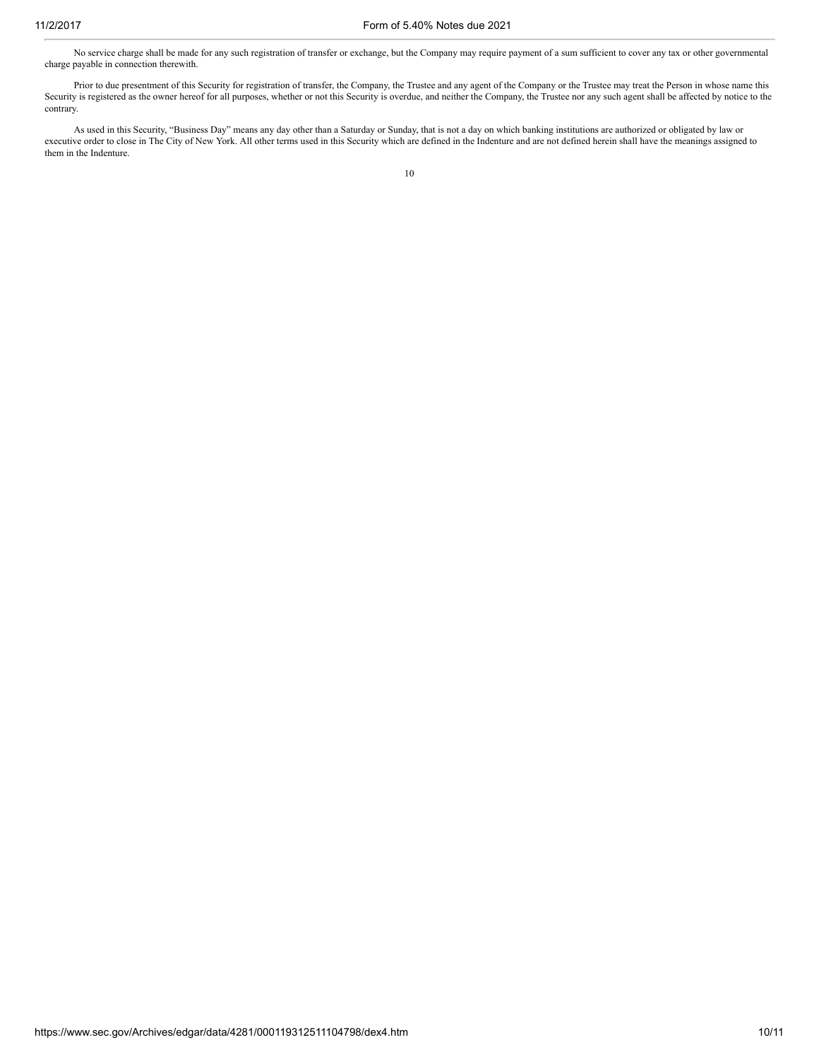No service charge shall be made for any such registration of transfer or exchange, but the Company may require payment of a sum sufficient to cover any tax or other governmental charge payable in connection therewith.

Prior to due presentment of this Security for registration of transfer, the Company, the Trustee and any agent of the Company or the Trustee may treat the Person in whose name this Security is registered as the owner hereof for all purposes, whether or not this Security is overdue, and neither the Company, the Trustee nor any such agent shall be affected by notice to the contrary.

As used in this Security, "Business Day" means any day other than a Saturday or Sunday, that is not a day on which banking institutions are authorized or obligated by law or executive order to close in The City of New York. All other terms used in this Security which are defined in the Indenture and are not defined herein shall have the meanings assigned to them in the Indenture.